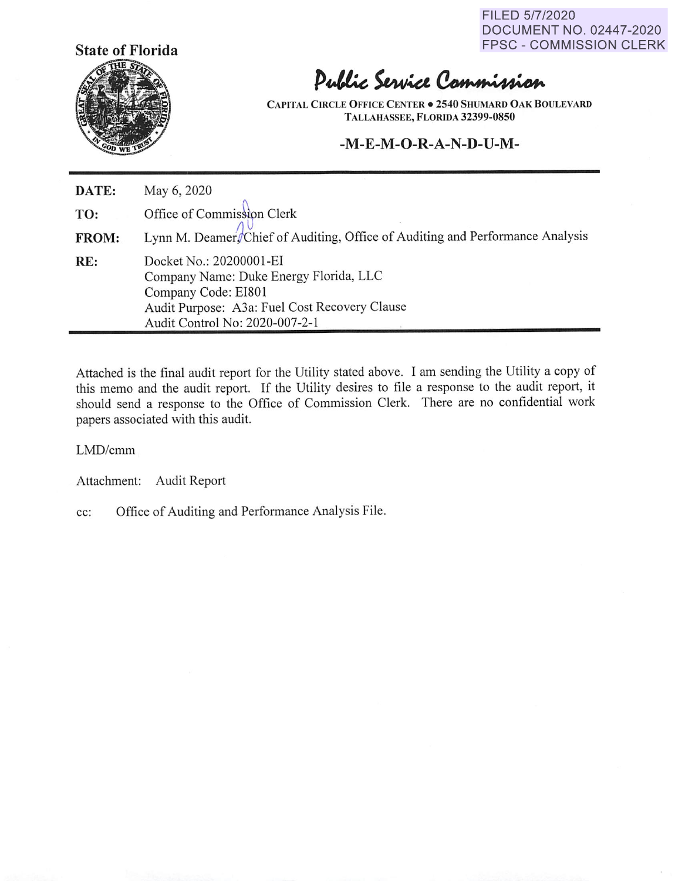FILED 5/7/2020 DOCUMENT NO. 02447-2020 FPSC - COMMISSION CLERK



# Public Service Commission

**CAPITAL CIRCLE O FFICE CENTER• 2540 SHUMARD OAK BOULEVARD TALLAHASSEE, FLORIDA 32399-0850** 

#### **-M-E-M-O-R-A-N-D-U-M-**

| DATE: | May 6, 2020                                                                                                                                                                 |
|-------|-----------------------------------------------------------------------------------------------------------------------------------------------------------------------------|
| TO:   | Office of Commission Clerk                                                                                                                                                  |
| FROM: | Lynn M. Deamer/Chief of Auditing, Office of Auditing and Performance Analysis                                                                                               |
| RE:   | Docket No.: 20200001-EI<br>Company Name: Duke Energy Florida, LLC<br>Company Code: EI801<br>Audit Purpose: A3a: Fuel Cost Recovery Clause<br>Audit Control No: 2020-007-2-1 |

Attached is the final audit report for the Utility stated above. I am sending the Utility a copy of this memo and the audit report. If the Utility desires to file a response to the audit report, it should send a response to the Office of Commission Clerk. There are no confidential work papers associated with this audit.

LMD/cmm

Attachment: Audit Report

cc: Office of Auditing and Performance Analysis File.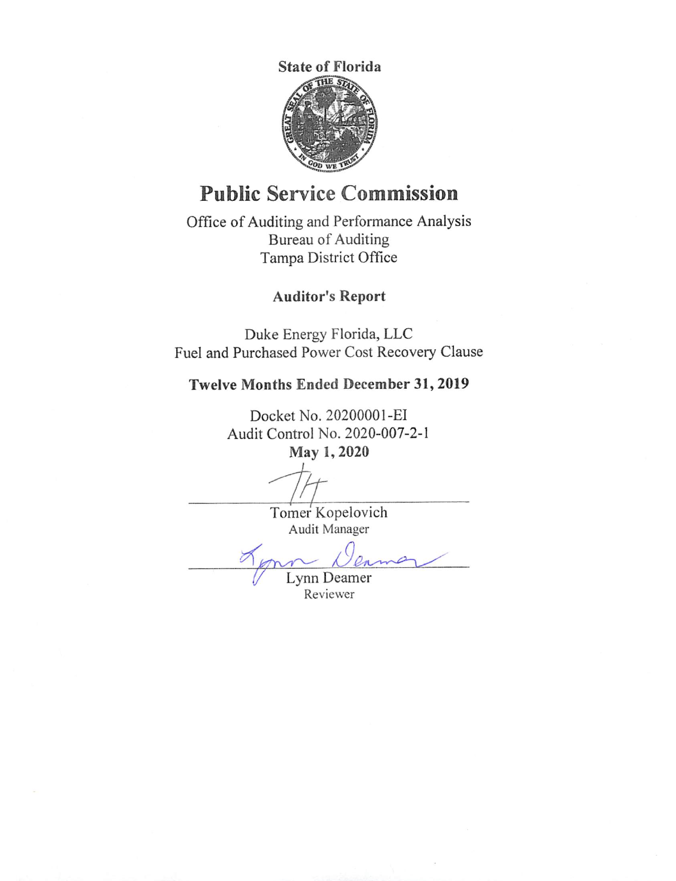

## **Public Service Commission**

Office of Auditing and Performance Analysis Bureau of Auditing Tampa District Office

#### **Auditor's Report**

Duke Energy Florida, LLC Fuel and Purchased Power Cost Recovery Clause

#### **Twelve Months Ended December 31, 2019**

Docket No. 2020000 I-EI Audit Control No. 2020-007-2-1 **May 1, 2020** 

2/t Tomer Kopelovich

Audit Manager

<u>n Wenne</u>

Reviewer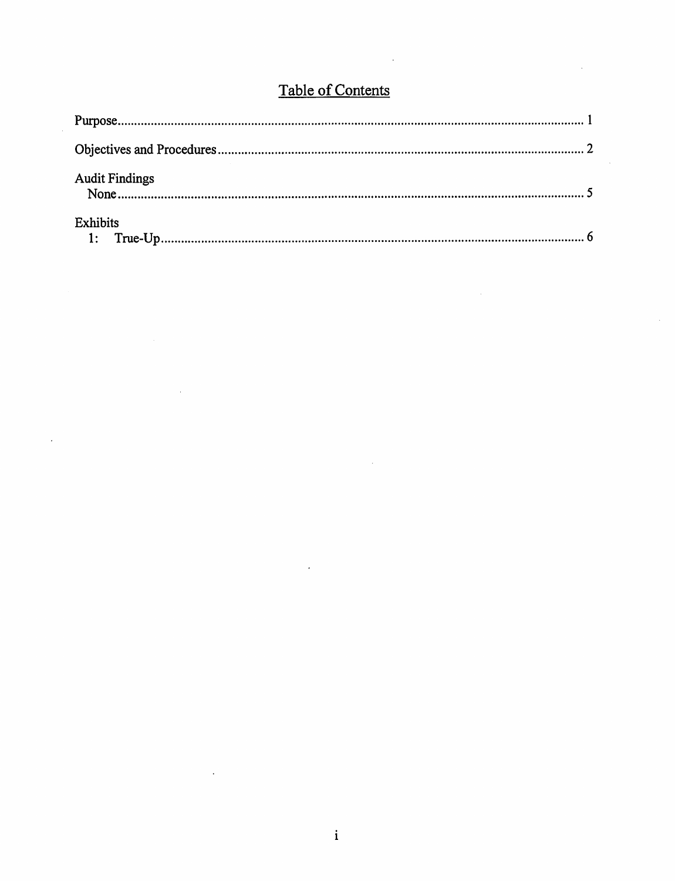### Table of Contents

| <b>Audit Findings</b> |  |
|-----------------------|--|
| Exhibits              |  |

 $\bar{z}$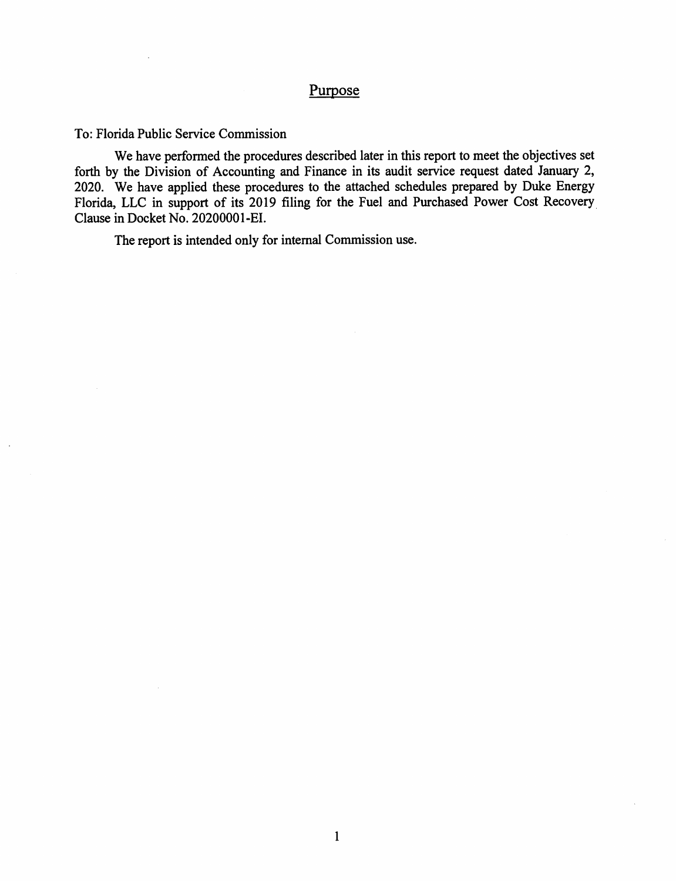#### Purpose

To: Florida Public Service Commission

We have performed the procedures described later in this report to meet the objectives set forth by the Division of Accounting and Finance in its audit service request dated January 2, 2020. We have applied these procedures to the attached schedules prepared by Duke Energy Florida, LLC in support of its 2019 filing for the Fuel and Purchased Power Cost Recovery Clause in Docket No. 20200001-EI.

The report is intended only for internal Commission use.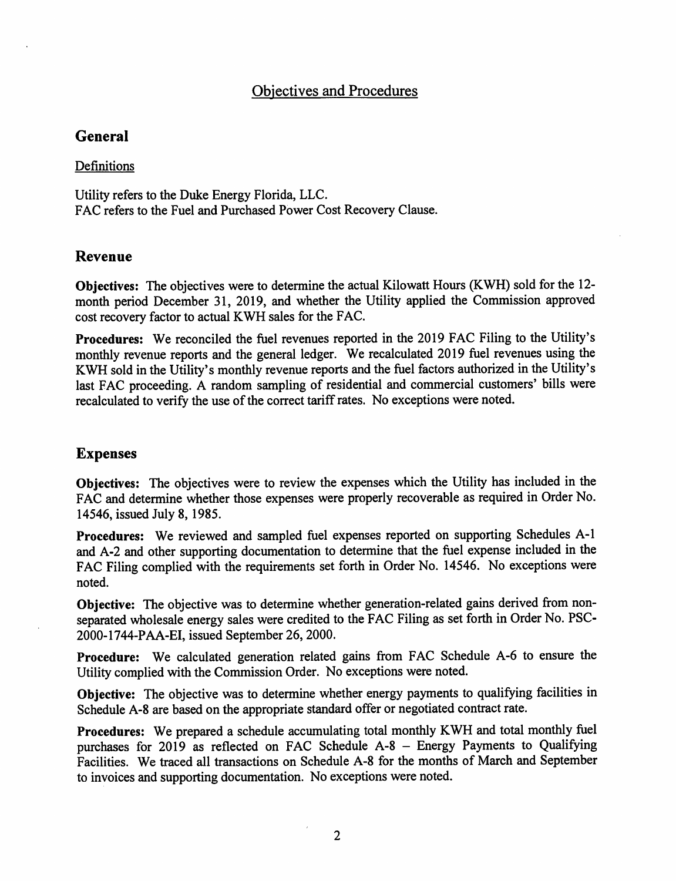#### Objectives and Procedures

#### **General**

#### Definitions

Utility refers to the Duke Energy Florida, LLC. FAC refers to the Fuel and Purchased Power Cost Recovery Clause.

#### **Revenue**

**Objectives:** The objectives were to determine the actual Kilowatt Hours (KWH) sold for the 12 month period December 31, 2019, and whether the Utility applied the Commission approved cost recovery factor to actual KWH sales for the FAC.

**Procedures:** We reconciled the fuel revenues reported in the 2019 FAC Filing to the Utility's monthly revenue reports and the general ledger. We recalculated 2019 fuel revenues using the KWH sold in the Utility's monthly revenue reports and the fuel factors authorized in the Utility's last FAC proceeding. A random sampling of residential and commercial customers' bills were recalculated to verify the use of the correct tariff rates. No exceptions were noted.

#### **Expenses**

**Objectives:** The objectives were to review the expenses which the Utility has included in the FAC and determine whether those expenses were properly recoverable as required in Order No. 14546, issued July 8, 1985.

**Procedures:** We reviewed and sampled fuel expenses reported on supporting Schedules A-1 and A-2 and other supporting documentation to determine that the fuel expense included in the FAC Filing complied with the requirements set forth in Order No. 14546. No exceptions were noted.

**Objective:** The objective was to determine whether generation-related gains derived from nonseparated wholesale energy sales were credited to the FAC Filing as set forth in Order No. PSC-2000-1744-PAA-EI, issued September 26, 2000.

**Procedure:** We calculated generation related gains from FAC Schedule A-6 to ensure the Utility complied with the Commission Order. No exceptions were noted.

**Objective:** The objective was to determine whether energy payments to qualifying facilities in Schedule A-8 are based on the appropriate standard offer or negotiated contract rate.

**Procedures:** We prepared a schedule accumulating total monthly KWH and total monthly fuel purchases for 2019 as reflected on FAC Schedule A-8 - Energy Payments to Qualifying Facilities. We traced all transactions on Schedule A-8 for the months of March and September to invoices and supporting documentation. No exceptions were noted.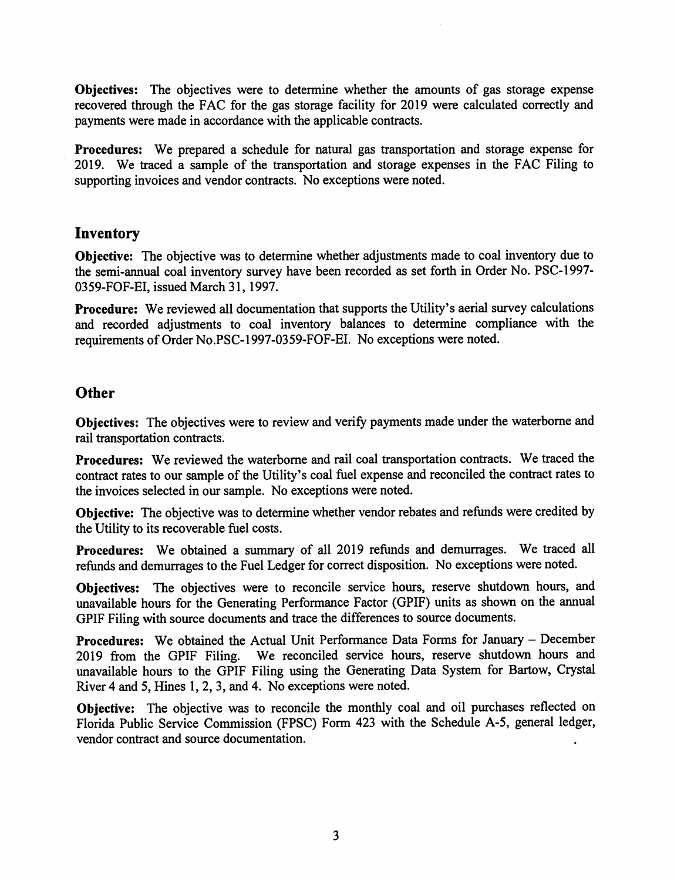**Objectives:** The objectives were to determine whether the amounts of gas storage expense recovered through the FAC for the gas storage facility for 2019 were calculated correctly and payments were made in accordance with the applicable contracts.

**Procedures:** We prepared a schedule for natural gas transportation and storage expense for 2019. We traced a sample of the transportation and storage expenses in the FAC Filing to supporting invoices and vendor contracts. No exceptions were noted.

#### **Inventory**

**Objective:** The objective was to determine whether adjustments made to coal inventory due to the semi-annual coal inventory survey have been recorded as set forth in Order No. PSC-1997- 0359-FOF-EI, issued March 31, 1997.

**Procedure:** We reviewed all documentation that supports the Utility's aerial survey calculations and recorded adjustments to coal inventory balances to determine compliance with the requirements of Order No.PSC-1997-0359-FOF-EI. No exceptions were noted.

#### **Other**

**Objectives:** The objectives were to review and verify payments made under the waterborne and rail transportation contracts.

Procedures: We reviewed the waterborne and rail coal transportation contracts. We traced the contract rates to our sample of the Utility's coal fuel expense and reconciled the contract rates to the invoices selected in our sample. No exceptions were noted.

**Objective:** The objective was to determine whether vendor rebates and refunds were credited by the Utility to its recoverable fuel costs.

**Procedures:** We obtained a summary of all 2019 refunds and demurrages. We traced all refunds and demurrages to the Fuel Ledger for correct disposition. No exceptions were noted.

**Objectives:** The objectives were to reconcile service hours, reserve shutdown hours, and unavailable hours for the Generating Performance Factor (GPIF) units as shown on the annual GPIF Filing with source documents and trace the differences to source documents.

**Procedures:** We obtained the Actual Unit Performance Data Forms for January – December 2019 from the GPIF Filing. We reconciled service hours, reserve shutdown hours and unavailable hours to the GPIF Filing using the Generating Data System for Bartow, Crystal River 4 and 5, Hines 1, 2, 3, and 4. No exceptions were noted.

**Objective:** The objective was to reconcile the monthly coal and oil purchases reflected on Florida Public Service Commission (FPSC) Form 423 with the Schedule A-5, general ledger, vendor contract and source documentation.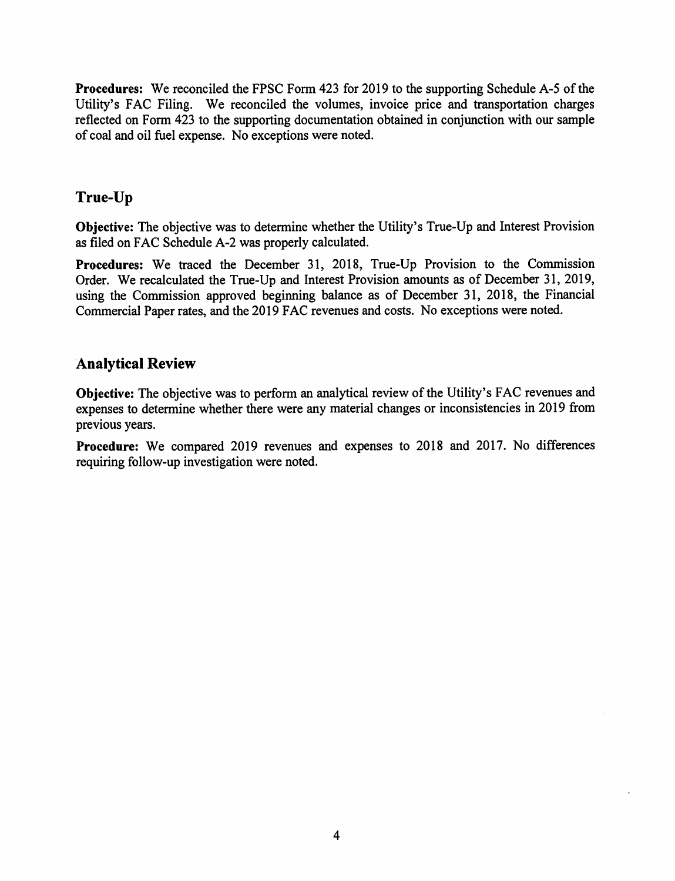**Procedures:** We reconciled the FPSC Form 423 for 2019 to the supporting Schedule A-5 of the Utility's FAC Filing. We reconciled the volumes, invoice price and transportation charges reflected on Form 423 to the supporting documentation obtained in conjunction with our sample of coal and oil fuel expense. No exceptions were noted.

#### **True-Up**

**Objective:** The objective was to determine whether the Utility's True-Up and Interest Provision as filed on FAC Schedule A-2 was properly calculated.

**Procedures:** We traced the December 31, 2018, True-Up Provision to the Commission Order. We recalculated the True-Up and Interest Provision amounts as of December 31, 2019, using the Commission approved beginning balance as of December 31, 2018, the Financial Commercial Paper rates, and the 2019 FAC revenues and costs. No exceptions were noted.

#### **Analytical Review**

**Objective:** The objective was to perform an analytical review of the Utility's FAC revenues and expenses to determine whether there were any material changes or inconsistencies in 2019 from previous years.

**Procedure:** We compared 2019 revenues and expenses to 2018 and 2017. No differences requiring follow-up investigation were noted.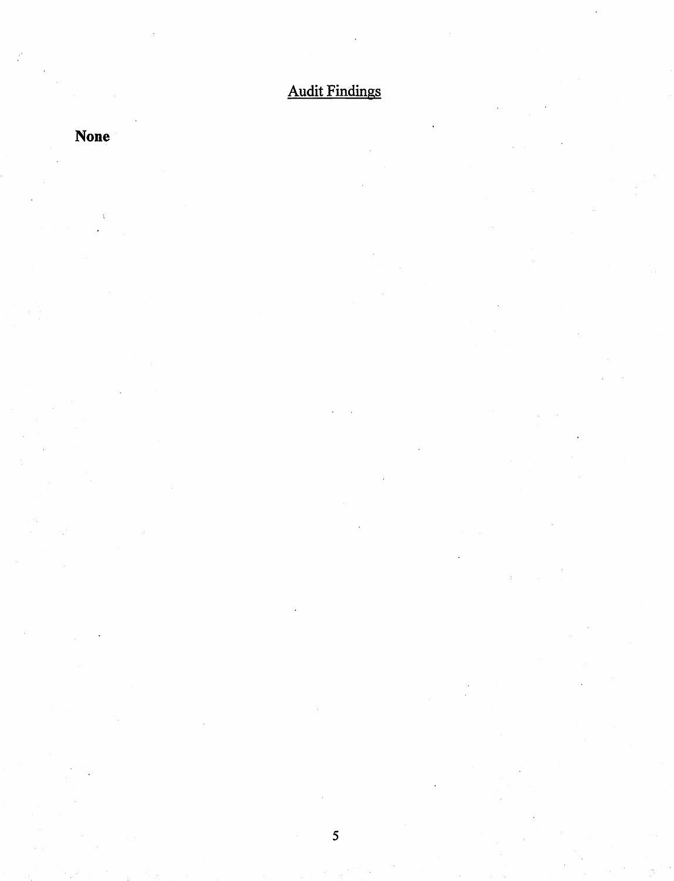# Audit Findings

## **None**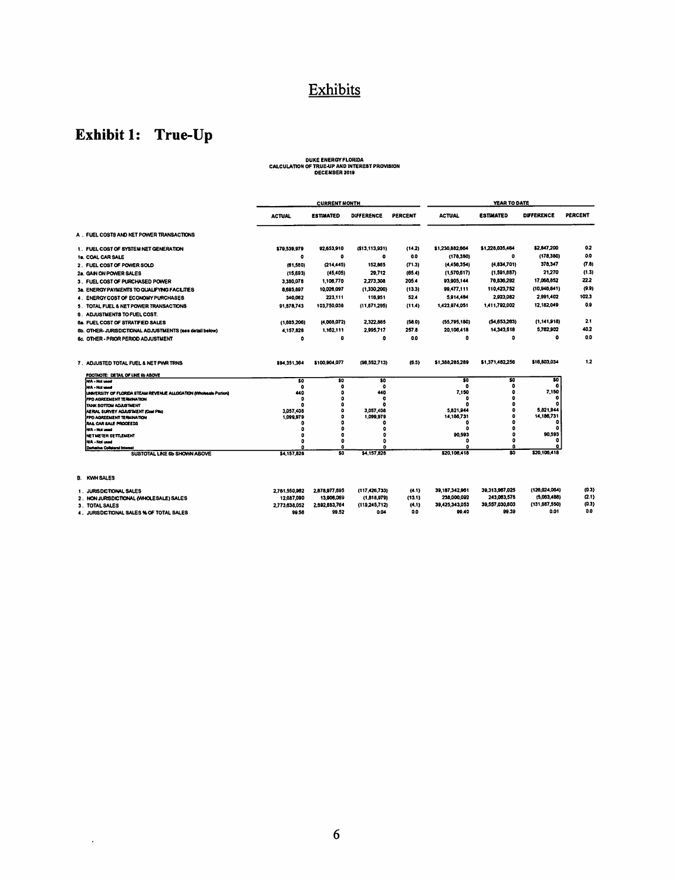### Exhibits

### Exhibit 1: True-Up

 $\sim 10^{11}$  km s  $^{-1}$ 

# DUKE ENERGY FLORIDA<br>CALCULATION OF TRUE-UP AND INTEREST PROVISION<br>DECEMBER 2019

|                                                                    | <b>CURRENT MONTH</b> |                  |                   |                | YEAR TO DATE    |                         |                   |         |
|--------------------------------------------------------------------|----------------------|------------------|-------------------|----------------|-----------------|-------------------------|-------------------|---------|
|                                                                    | <b>ACTUAL</b>        | <b>ESTIMATED</b> | <b>DIFFERENCE</b> | <b>PERCENT</b> | <b>ACTUAL</b>   | <b>ESTIMATED</b>        | <b>DIFFERENCE</b> | PERCENT |
| A. FUEL COSTS AND NET POWER TRANSACTIONS                           |                      |                  |                   |                |                 |                         |                   |         |
| 1. FUEL COST OF SYSTEM NET GENERATION                              | \$79,539,979         | 92,653,910       | ( \$13, 113, 931) | (14.2)         | \$1,230,882,664 | \$1,228,035,464         | \$2,847,200       | 0.2     |
| 1a. COAL CAR SALE                                                  | ٥                    | ۰                | ۰                 | 0.0            | (178, 380)      | ۰                       | (178, 380)        | 0.0     |
| 2. FUEL COST OF POWER SOLD                                         | (61, 550)            | (214, 445)       | 152,865           | (71.3)         | (4,456,354)     | (4, 834, 701)           | 378,347           | 7.8     |
| 2a. GAN ON POWER SALES                                             | (15, 693)            | (45, 405)        | 29,712            | (65.4)         | (1,570.617)     | (1, 591, 887)           | 21,270            | (1.3)   |
| 3. FUEL COST OF PURCHASED POWER                                    | 3,380,070            | 1,106,770        | 2,273,308         | 205.4          | 93.905.144      | 76,836,292              | 17,068,852        | 22.2    |
| 3a. ENERGY PAYMENTS TO QUALIFYING FACILITIES                       | 8,695,897            | 10,026,097       | (1,330,200)       | (13.3)         | 99,477,111      | 110,423,752             | (10,945,641)      | (9.9)   |
| 4. ENERGY COST OF ECONOMY PURCHASES                                | 340.062              | 223,111          | 116,951           | 52.4           | 5,914,484       | 2,923,082               | 2.991.402         | 102.3   |
| 5. TOTAL FUEL & NET POWER TRANSACTIONS                             | 91,678,743           | 103,750,038      | (11, 071, 295)    | (11.4)         | 1,423,974,051   | 1.411.792.002           | 12,182,049        | 0.9     |
| <b>6. ADJUSTMENTS TO FUEL COST:</b>                                |                      |                  |                   |                |                 |                         |                   |         |
| <b>6a. FUEL COST OF STRATFED SALES</b>                             | (1,685,208)          | (4,003,072)      | 2,322.885         | (50.0)         | (55, 795, 180)  | (54, 053, 203)          | (1.141.918)       | 2.1     |
| 6b. OTHER-JURISDICTIONAL ADJUSTMENTS (see detail below)            | 4,157,828            | 1,162,111        | 2,995.717         | 257.8          | 20.100.418      | 14,343,518              | 5,762,902         | 40.2    |
| 6c. OTHER - PRIOR PERIOD ADJUSTMENT                                | ۰                    | ۰                | 0                 | 0.0            | ۰               | o                       | $\bullet$         | 0.0     |
| 7. ADJUSTED TOTAL FUEL & NET PWR TRNS                              | \$94,351,364         | \$100,904,077    | (\$6.552,713)     | (6.5)          | \$1,388,285,289 | \$1,371,482,256         | \$16,803,034      | 1.2     |
| FOOTHOTE: DETAIL OF LINE & ABOVE                                   | \$0                  | \$0              | \$0               |                | \$0             | \$0                     | \$0               |         |
| NA - Not used<br>NA - Nat wood                                     | ۰                    | o                | n                 |                | ۰               | n                       | o                 |         |
| UNIVERSITY OF FLORIDA STEAM REVENUE ALLOCATION (Wholesale Portion) | 440                  | ٥                | 440               |                | 7,150           |                         | 7.150             |         |
| FPD AGREEMENT TERMINATION                                          | ٥                    | ٥<br>٥           | o                 |                | ٥               |                         | ۰                 |         |
| TANK BOTTOM ADJUSTMENT<br>AERAL SURVEY ADJUSTMENT (Coal Pile)      | 3,057,408            | ۵                | 3.057.408         |                | 5,821,944       |                         | 5.821.944         |         |
| FPD AGREEMENT TERMINATION                                          | 1,099,979            | ٥                | 1.099.979         |                | 14,186,731      |                         | 14,186,731        |         |
| RAIL CAR SALE PROCEEDS                                             | п                    | n                | o                 |                | ٥<br>n          |                         | o<br>n            |         |
| N'A - Not used<br>NET METER SETTLEMENT                             | n<br>۵               | ۵<br>o           | O                 |                | 90.593          |                         | 90.593            |         |
| <b>N/A - Not used</b>                                              | ٥                    | ۰                | n                 |                |                 |                         | ۰                 |         |
| Derketke Colleteral Interest                                       |                      | Ω                |                   |                |                 | o                       | ۵                 |         |
| SUBTOTAL LINE 6b SHOWN ABOVE                                       | \$4,157,828          | \$0              | \$4,157,828       |                | \$20,106,418    | $\overline{\mathbf{S}}$ | \$20,106.418      |         |
| B. KWH SALES                                                       |                      |                  |                   |                |                 |                         |                   |         |
| 1. JURISDICTIONAL SALES                                            | 2,761,550,962        | 2,878,977,695    | (117 426 733)     | (4.1)          | 39.187,342,961  | 39.313.967.025          | (126, 624, 064)   | (0.3)   |
| 2. NON JURSDICTIONAL (WHOLESALE) SALES                             | 12.087.090           | 13,906,069       | (1.818.979)       | (13.1)         | 238,000,092     | 243.063.578             | (5,063,436)       | (2.1)   |
| 3. TOTAL SALES                                                     | 2,773,638,052        | 2,892,883,764    | (119.245.712)     | (4.1)          | 39 425 343 053  | 39.557.030.603          | (131,687,550)     | (0.3)   |
| 4. JURISDICTIONAL SALES % OF TOTAL SALES                           | 99.56                | 99.52            | 0.04              | 0.0            | 99.40           | 99.39                   | 0.01              | 0.0     |